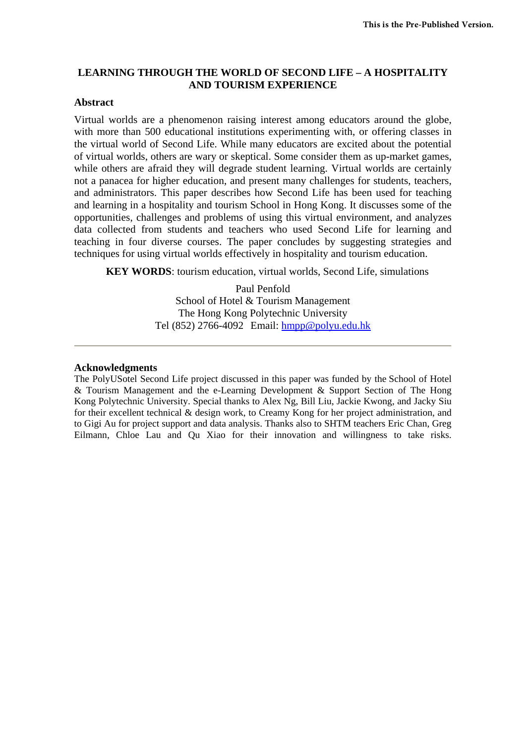# **LEARNING THROUGH THE WORLD OF SECOND LIFE – A HOSPITALITY AND TOURISM EXPERIENCE**

#### **Abstract**

Virtual worlds are a phenomenon raising interest among educators around the globe, with more than 500 educational institutions experimenting with, or offering classes in the virtual world of Second Life. While many educators are excited about the potential of virtual worlds, others are wary or skeptical. Some consider them as up-market games, while others are afraid they will degrade student learning. Virtual worlds are certainly not a panacea for higher education, and present many challenges for students, teachers, and administrators. This paper describes how Second Life has been used for teaching and learning in a hospitality and tourism School in Hong Kong. It discusses some of the opportunities, challenges and problems of using this virtual environment, and analyzes data collected from students and teachers who used Second Life for learning and teaching in four diverse courses. The paper concludes by suggesting strategies and techniques for using virtual worlds effectively in hospitality and tourism education.

**KEY WORDS**: tourism education, virtual worlds, Second Life, simulations

Paul Penfold School of Hotel & Tourism Management The Hong Kong Polytechnic University Tel (852) 2766-4092 Email: [hmpp@polyu.edu.hk](mailto:hmpp@polyu.edu.hk)

#### **Acknowledgments**

The PolyUSotel Second Life project discussed in this paper was funded by the School of Hotel & Tourism Management and the e-Learning Development & Support Section of The Hong Kong Polytechnic University. Special thanks to Alex Ng, Bill Liu, Jackie Kwong, and Jacky Siu for their excellent technical & design work, to Creamy Kong for her project administration, and to Gigi Au for project support and data analysis. Thanks also to SHTM teachers Eric Chan, Greg Eilmann, Chloe Lau and Qu Xiao for their innovation and willingness to take risks.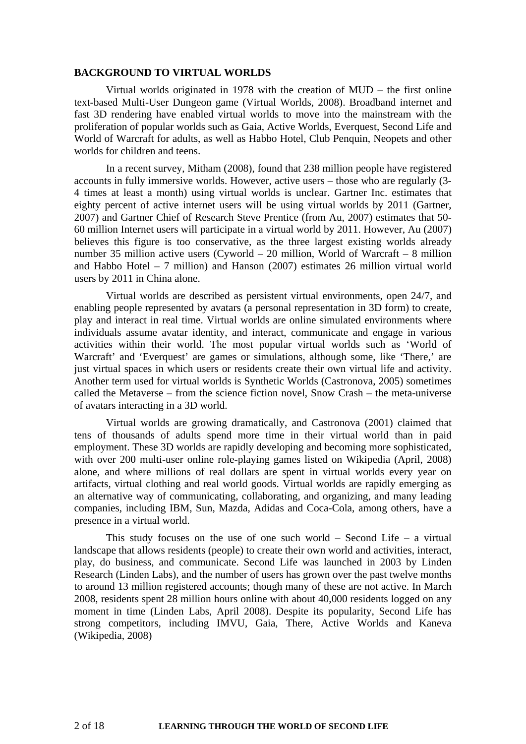### **BACKGROUND TO VIRTUAL WORLDS**

Virtual worlds originated in 1978 with the creation of MUD – the first online text-based Multi-User Dungeon game (Virtual Worlds, 2008). Broadband internet and fast 3D rendering have enabled virtual worlds to move into the mainstream with the proliferation of popular worlds such as Gaia, Active Worlds, Everquest, Second Life and World of Warcraft for adults, as well as Habbo Hotel, Club Penquin, Neopets and other worlds for children and teens.

In a recent survey, Mitham (2008), found that 238 million people have registered accounts in fully immersive worlds. However, active users – those who are regularly (3- 4 times at least a month) using virtual worlds is unclear. Gartner Inc. estimates that eighty percent of active internet users will be using virtual worlds by 2011 (Gartner, 2007) and Gartner Chief of Research Steve Prentice (from Au, 2007) estimates that 50- 60 million Internet users will participate in a virtual world by 2011. However, Au (2007) believes this figure is too conservative, as the three largest existing worlds already number 35 million active users (Cyworld – 20 million, World of Warcraft – 8 million and Habbo Hotel – 7 million) and Hanson (2007) estimates 26 million virtual world users by 2011 in China alone.

Virtual worlds are described as persistent virtual environments, open 24/7, and enabling people represented by avatars (a personal representation in 3D form) to create, play and interact in real time. Virtual worlds are online simulated environments where individuals assume avatar identity, and interact, communicate and engage in various activities within their world. The most popular virtual worlds such as 'World of Warcraft' and 'Everquest' are games or simulations, although some, like 'There,' are just virtual spaces in which users or residents create their own virtual life and activity. Another term used for virtual worlds is Synthetic Worlds (Castronova, 2005) sometimes called the Metaverse – from the science fiction novel, Snow Crash – the meta-universe of avatars interacting in a 3D world.

Virtual worlds are growing dramatically, and Castronova (2001) claimed that tens of thousands of adults spend more time in their virtual world than in paid employment. These 3D worlds are rapidly developing and becoming more sophisticated, with over 200 multi-user online role-playing games listed on Wikipedia (April, 2008) alone, and where millions of real dollars are spent in virtual worlds every year on artifacts, virtual clothing and real world goods. Virtual worlds are rapidly emerging as an alternative way of communicating, collaborating, and organizing, and many leading companies, including IBM, Sun, Mazda, Adidas and Coca-Cola, among others, have a presence in a virtual world.

This study focuses on the use of one such world – Second Life – a virtual landscape that allows residents (people) to create their own world and activities, interact, play, do business, and communicate. Second Life was launched in 2003 by Linden Research (Linden Labs), and the number of users has grown over the past twelve months to around 13 million registered accounts; though many of these are not active. In March 2008, residents spent 28 million hours online with about 40,000 residents logged on any moment in time (Linden Labs, April 2008). Despite its popularity, Second Life has strong competitors, including IMVU, Gaia, There, Active Worlds and Kaneva (Wikipedia, 2008)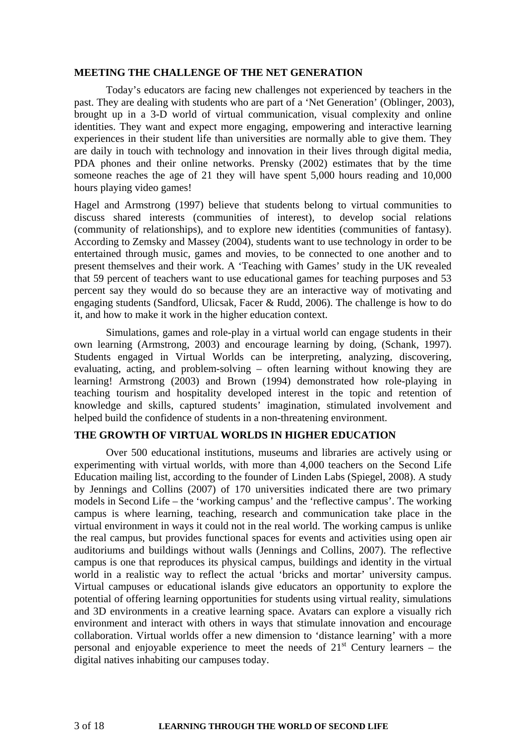### **MEETING THE CHALLENGE OF THE NET GENERATION**

Today's educators are facing new challenges not experienced by teachers in the past. They are dealing with students who are part of a 'Net Generation' (Oblinger, 2003), brought up in a 3-D world of virtual communication, visual complexity and online identities. They want and expect more engaging, empowering and interactive learning experiences in their student life than universities are normally able to give them. They are daily in touch with technology and innovation in their lives through digital media, PDA phones and their online networks. Prensky (2002) estimates that by the time someone reaches the age of 21 they will have spent 5,000 hours reading and 10,000 hours playing video games!

Hagel and Armstrong (1997) believe that students belong to virtual communities to discuss shared interests (communities of interest), to develop social relations (community of relationships), and to explore new identities (communities of fantasy). According to Zemsky and Massey (2004), students want to use technology in order to be entertained through music, games and movies, to be connected to one another and to present themselves and their work. A 'Teaching with Games' study in the UK revealed that 59 percent of teachers want to use educational games for teaching purposes and 53 percent say they would do so because they are an interactive way of motivating and engaging students (Sandford, Ulicsak, Facer & Rudd, 2006). The challenge is how to do it, and how to make it work in the higher education context.

Simulations, games and role-play in a virtual world can engage students in their own learning (Armstrong, 2003) and encourage learning by doing, (Schank, 1997). Students engaged in Virtual Worlds can be interpreting, analyzing, discovering, evaluating, acting, and problem-solving – often learning without knowing they are learning! Armstrong (2003) and Brown (1994) demonstrated how role-playing in teaching tourism and hospitality developed interest in the topic and retention of knowledge and skills, captured students' imagination, stimulated involvement and helped build the confidence of students in a non-threatening environment.

## **THE GROWTH OF VIRTUAL WORLDS IN HIGHER EDUCATION**

Over 500 educational institutions, museums and libraries are actively using or experimenting with virtual worlds, with more than 4,000 teachers on the Second Life Education mailing list, according to the founder of Linden Labs (Spiegel, 2008). A study by Jennings and Collins (2007) of 170 universities indicated there are two primary models in Second Life – the 'working campus' and the 'reflective campus'. The working campus is where learning, teaching, research and communication take place in the virtual environment in ways it could not in the real world. The working campus is unlike the real campus, but provides functional spaces for events and activities using open air auditoriums and buildings without walls (Jennings and Collins, 2007). The reflective campus is one that reproduces its physical campus, buildings and identity in the virtual world in a realistic way to reflect the actual 'bricks and mortar' university campus. Virtual campuses or educational islands give educators an opportunity to explore the potential of offering learning opportunities for students using virtual reality, simulations and 3D environments in a creative learning space. Avatars can explore a visually rich environment and interact with others in ways that stimulate innovation and encourage collaboration. Virtual worlds offer a new dimension to 'distance learning' with a more personal and enjoyable experience to meet the needs of  $21<sup>st</sup>$  Century learners – the digital natives inhabiting our campuses today.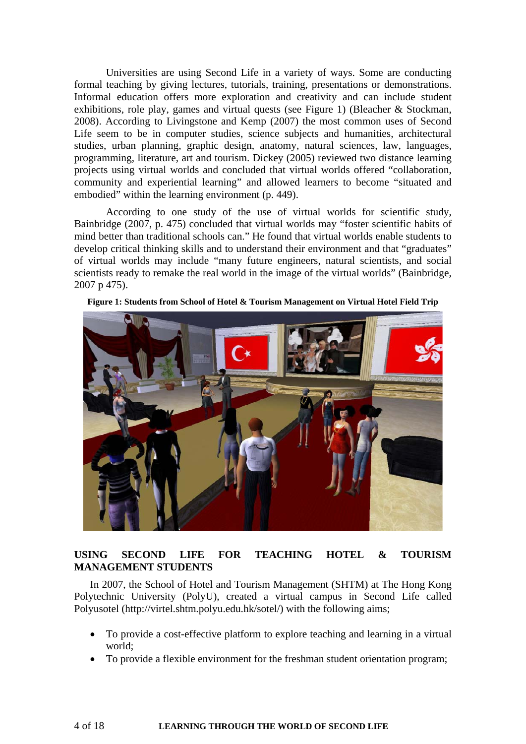Universities are using Second Life in a variety of ways. Some are conducting formal teaching by giving lectures, tutorials, training, presentations or demonstrations. Informal education offers more exploration and creativity and can include student exhibitions, role play, games and virtual quests (see Figure 1) (Bleacher & Stockman, 2008). According to Livingstone and Kemp (2007) the most common uses of Second Life seem to be in computer studies, science subjects and humanities, architectural studies, urban planning, graphic design, anatomy, natural sciences, law, languages, programming, literature, art and tourism. Dickey (2005) reviewed two distance learning projects using virtual worlds and concluded that virtual worlds offered "collaboration, community and experiential learning" and allowed learners to become "situated and embodied" within the learning environment (p. 449).

According to one study of the use of virtual worlds for scientific study, Bainbridge (2007, p. 475) concluded that virtual worlds may "foster scientific habits of mind better than traditional schools can." He found that virtual worlds enable students to develop critical thinking skills and to understand their environment and that "graduates" of virtual worlds may include "many future engineers, natural scientists, and social scientists ready to remake the real world in the image of the virtual worlds" (Bainbridge, 2007 p 475).



**Figure 1: Students from School of Hotel & Tourism Management on Virtual Hotel Field Trip**

## **USING SECOND LIFE FOR TEACHING HOTEL & TOURISM MANAGEMENT STUDENTS**

In 2007, the School of Hotel and Tourism Management (SHTM) at The Hong Kong Polytechnic University (PolyU), created a virtual campus in Second Life called Polyusotel (http://virtel.shtm.polyu.edu.hk/sotel/) with the following aims;

- To provide a cost-effective platform to explore teaching and learning in a virtual world;
- To provide a flexible environment for the freshman student orientation program;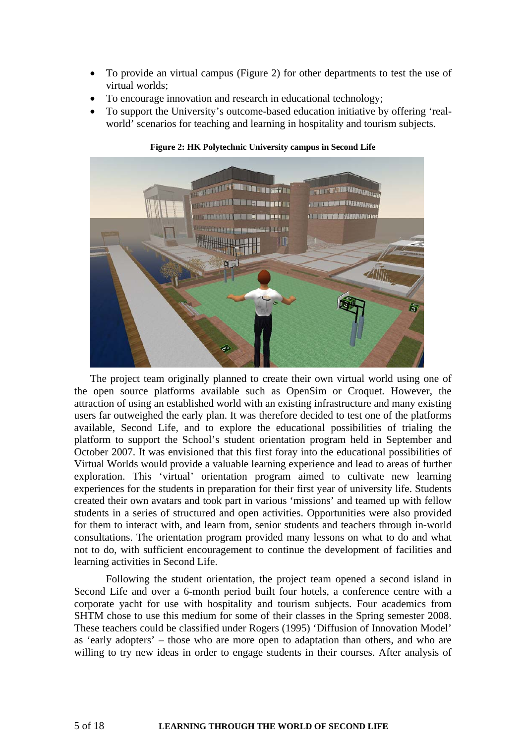- To provide an virtual campus (Figure 2) for other departments to test the use of virtual worlds;
- To encourage innovation and research in educational technology;
- To support the University's outcome-based education initiative by offering 'realworld' scenarios for teaching and learning in hospitality and tourism subjects.



**Figure 2: HK Polytechnic University campus in Second Life** 

The project team originally planned to create their own virtual world using one of the open source platforms available such as OpenSim or Croquet. However, the attraction of using an established world with an existing infrastructure and many existing users far outweighed the early plan. It was therefore decided to test one of the platforms available, Second Life, and to explore the educational possibilities of trialing the platform to support the School's student orientation program held in September and October 2007. It was envisioned that this first foray into the educational possibilities of Virtual Worlds would provide a valuable learning experience and lead to areas of further exploration. This 'virtual' orientation program aimed to cultivate new learning experiences for the students in preparation for their first year of university life. Students created their own avatars and took part in various 'missions' and teamed up with fellow students in a series of structured and open activities. Opportunities were also provided for them to interact with, and learn from, senior students and teachers through in-world consultations. The orientation program provided many lessons on what to do and what not to do, with sufficient encouragement to continue the development of facilities and learning activities in Second Life.

Following the student orientation, the project team opened a second island in Second Life and over a 6-month period built four hotels, a conference centre with a corporate yacht for use with hospitality and tourism subjects. Four academics from SHTM chose to use this medium for some of their classes in the Spring semester 2008. These teachers could be classified under Rogers (1995) 'Diffusion of Innovation Model' as 'early adopters' – those who are more open to adaptation than others, and who are willing to try new ideas in order to engage students in their courses. After analysis of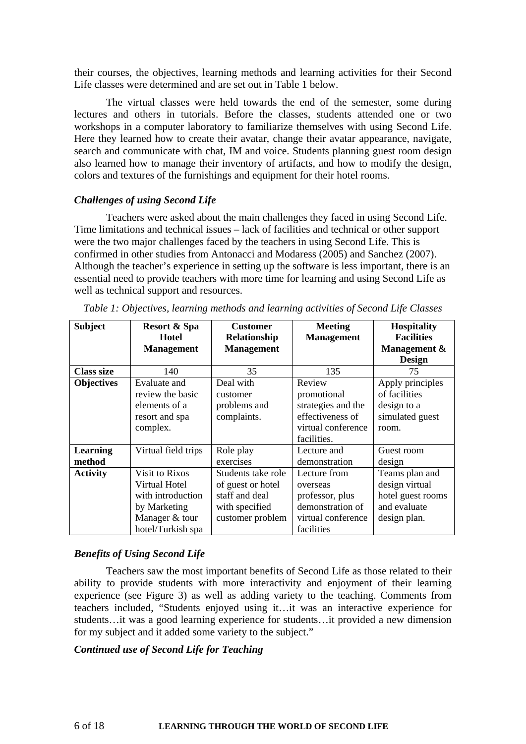their courses, the objectives, learning methods and learning activities for their Second Life classes were determined and are set out in Table 1 below.

The virtual classes were held towards the end of the semester, some during lectures and others in tutorials. Before the classes, students attended one or two workshops in a computer laboratory to familiarize themselves with using Second Life. Here they learned how to create their avatar, change their avatar appearance, navigate, search and communicate with chat, IM and voice. Students planning guest room design also learned how to manage their inventory of artifacts, and how to modify the design, colors and textures of the furnishings and equipment for their hotel rooms.

# *Challenges of using Second Life*

Teachers were asked about the main challenges they faced in using Second Life. Time limitations and technical issues – lack of facilities and technical or other support were the two major challenges faced by the teachers in using Second Life. This is confirmed in other studies from Antonacci and Modaress (2005) and Sanchez (2007). Although the teacher's experience in setting up the software is less important, there is an essential need to provide teachers with more time for learning and using Second Life as well as technical support and resources.

| <b>Subject</b>            | Resort & Spa<br>Hotel<br><b>Management</b>                                                                         | <b>Customer</b><br><b>Relationship</b><br><b>Management</b>                                     | <b>Meeting</b><br><b>Management</b>                                                                  | <b>Hospitality</b><br><b>Facilities</b><br>Management &<br><b>Design</b>              |
|---------------------------|--------------------------------------------------------------------------------------------------------------------|-------------------------------------------------------------------------------------------------|------------------------------------------------------------------------------------------------------|---------------------------------------------------------------------------------------|
| <b>Class size</b>         | 140                                                                                                                | 35                                                                                              | 135                                                                                                  | 75                                                                                    |
| <b>Objectives</b>         | Evaluate and<br>review the basic<br>elements of a<br>resort and spa<br>complex.                                    | Deal with<br>customer<br>problems and<br>complaints.                                            | Review<br>promotional<br>strategies and the<br>effectiveness of<br>virtual conference<br>facilities. | Apply principles<br>of facilities<br>design to a<br>simulated guest<br>room.          |
| <b>Learning</b><br>method | Virtual field trips                                                                                                | Role play<br>exercises                                                                          | Lecture and<br>demonstration                                                                         | Guest room<br>design                                                                  |
| <b>Activity</b>           | <b>Visit to Rixos</b><br>Virtual Hotel<br>with introduction<br>by Marketing<br>Manager & tour<br>hotel/Turkish spa | Students take role<br>of guest or hotel<br>staff and deal<br>with specified<br>customer problem | Lecture from<br>overseas<br>professor, plus<br>demonstration of<br>virtual conference<br>facilities  | Teams plan and<br>design virtual<br>hotel guest rooms<br>and evaluate<br>design plan. |

| Table 1: Objectives, learning methods and learning activities of Second Life Classes |  |  |  |  |
|--------------------------------------------------------------------------------------|--|--|--|--|
|                                                                                      |  |  |  |  |

# *Benefits of Using Second Life*

Teachers saw the most important benefits of Second Life as those related to their ability to provide students with more interactivity and enjoyment of their learning experience (see Figure 3) as well as adding variety to the teaching. Comments from teachers included, "Students enjoyed using it…it was an interactive experience for students…it was a good learning experience for students…it provided a new dimension for my subject and it added some variety to the subject."

## *Continued use of Second Life for Teaching*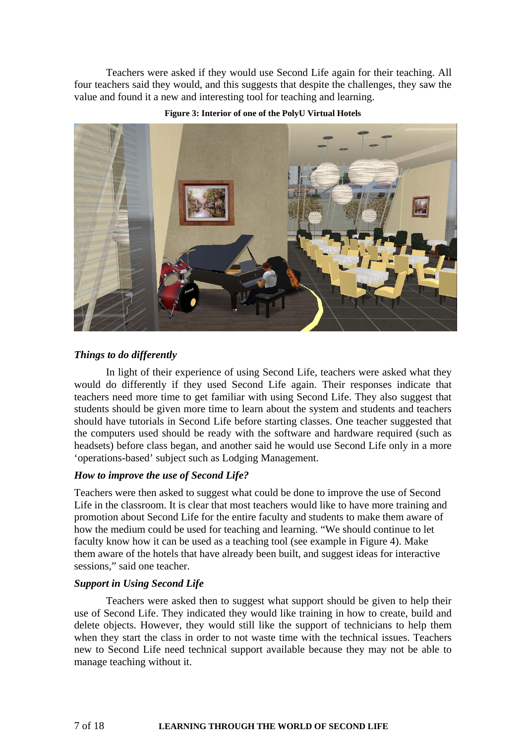Teachers were asked if they would use Second Life again for their teaching. All four teachers said they would, and this suggests that despite the challenges, they saw the value and found it a new and interesting tool for teaching and learning.



**Figure 3: Interior of one of the PolyU Virtual Hotels**

# *Things to do differently*

In light of their experience of using Second Life, teachers were asked what they would do differently if they used Second Life again. Their responses indicate that teachers need more time to get familiar with using Second Life. They also suggest that students should be given more time to learn about the system and students and teachers should have tutorials in Second Life before starting classes. One teacher suggested that the computers used should be ready with the software and hardware required (such as headsets) before class began, and another said he would use Second Life only in a more 'operations-based' subject such as Lodging Management.

## *How to improve the use of Second Life?*

Teachers were then asked to suggest what could be done to improve the use of Second Life in the classroom. It is clear that most teachers would like to have more training and promotion about Second Life for the entire faculty and students to make them aware of how the medium could be used for teaching and learning. "We should continue to let faculty know how it can be used as a teaching tool (see example in Figure 4). Make them aware of the hotels that have already been built, and suggest ideas for interactive sessions," said one teacher.

# *Support in Using Second Life*

Teachers were asked then to suggest what support should be given to help their use of Second Life. They indicated they would like training in how to create, build and delete objects. However, they would still like the support of technicians to help them when they start the class in order to not waste time with the technical issues. Teachers new to Second Life need technical support available because they may not be able to manage teaching without it.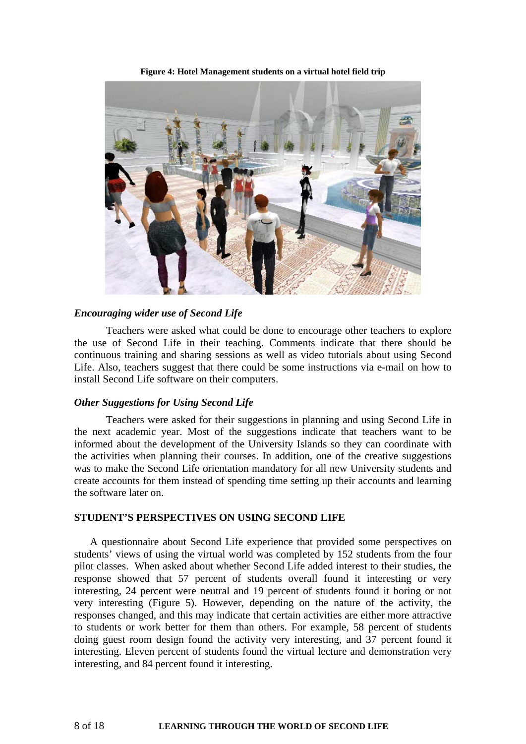

**Figure 4: Hotel Management students on a virtual hotel field trip** 

### *Encouraging wider use of Second Life*

Teachers were asked what could be done to encourage other teachers to explore the use of Second Life in their teaching. Comments indicate that there should be continuous training and sharing sessions as well as video tutorials about using Second Life. Also, teachers suggest that there could be some instructions via e-mail on how to install Second Life software on their computers.

#### *Other Suggestions for Using Second Life*

Teachers were asked for their suggestions in planning and using Second Life in the next academic year. Most of the suggestions indicate that teachers want to be informed about the development of the University Islands so they can coordinate with the activities when planning their courses. In addition, one of the creative suggestions was to make the Second Life orientation mandatory for all new University students and create accounts for them instead of spending time setting up their accounts and learning the software later on.

## **STUDENT'S PERSPECTIVES ON USING SECOND LIFE**

A questionnaire about Second Life experience that provided some perspectives on students' views of using the virtual world was completed by 152 students from the four pilot classes. When asked about whether Second Life added interest to their studies, the response showed that 57 percent of students overall found it interesting or very interesting, 24 percent were neutral and 19 percent of students found it boring or not very interesting (Figure 5). However, depending on the nature of the activity, the responses changed, and this may indicate that certain activities are either more attractive to students or work better for them than others. For example, 58 percent of students doing guest room design found the activity very interesting, and 37 percent found it interesting. Eleven percent of students found the virtual lecture and demonstration very interesting, and 84 percent found it interesting.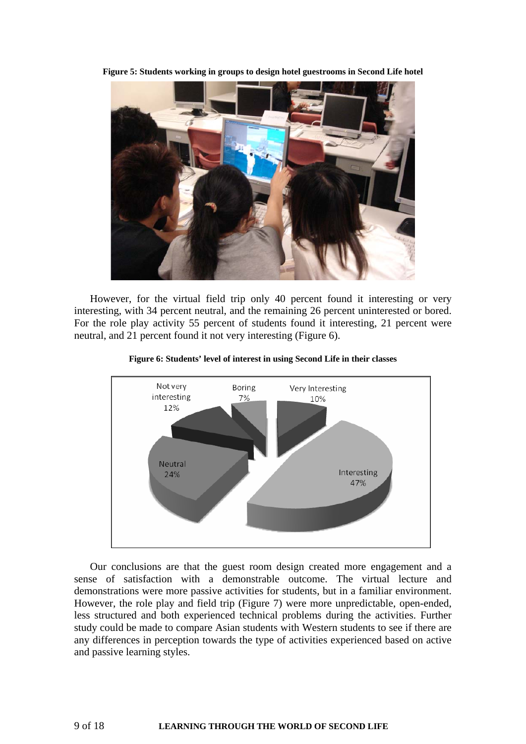**Figure 5: Students working in groups to design hotel guestrooms in Second Life hotel** 



However, for the virtual field trip only 40 percent found it interesting or very interesting, with 34 percent neutral, and the remaining 26 percent uninterested or bored. For the role play activity 55 percent of students found it interesting, 21 percent were neutral, and 21 percent found it not very interesting (Figure 6).



**Figure 6: Students' level of interest in using Second Life in their classes** 

Our conclusions are that the guest room design created more engagement and a sense of satisfaction with a demonstrable outcome. The virtual lecture and demonstrations were more passive activities for students, but in a familiar environment. However, the role play and field trip (Figure 7) were more unpredictable, open-ended, less structured and both experienced technical problems during the activities. Further study could be made to compare Asian students with Western students to see if there are any differences in perception towards the type of activities experienced based on active and passive learning styles.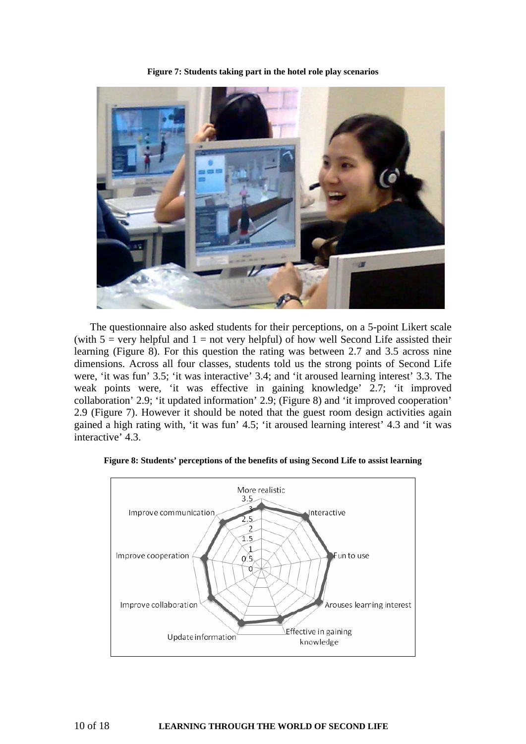

**Figure 7: Students taking part in the hotel role play scenarios** 

The questionnaire also asked students for their perceptions, on a 5-point Likert scale (with  $5 = \text{very helpful}$  and  $1 = \text{not very helpful}$ ) of how well Second Life assisted their learning (Figure 8). For this question the rating was between 2.7 and 3.5 across nine dimensions. Across all four classes, students told us the strong points of Second Life were, 'it was fun' 3.5; 'it was interactive' 3.4; and 'it aroused learning interest' 3.3. The weak points were, 'it was effective in gaining knowledge' 2.7; 'it improved collaboration' 2.9; 'it updated information' 2.9; (Figure 8) and 'it improved cooperation' 2.9 (Figure 7). However it should be noted that the guest room design activities again gained a high rating with, 'it was fun' 4.5; 'it aroused learning interest' 4.3 and 'it was interactive' 4.3.



**Figure 8: Students' perceptions of the benefits of using Second Life to assist learning**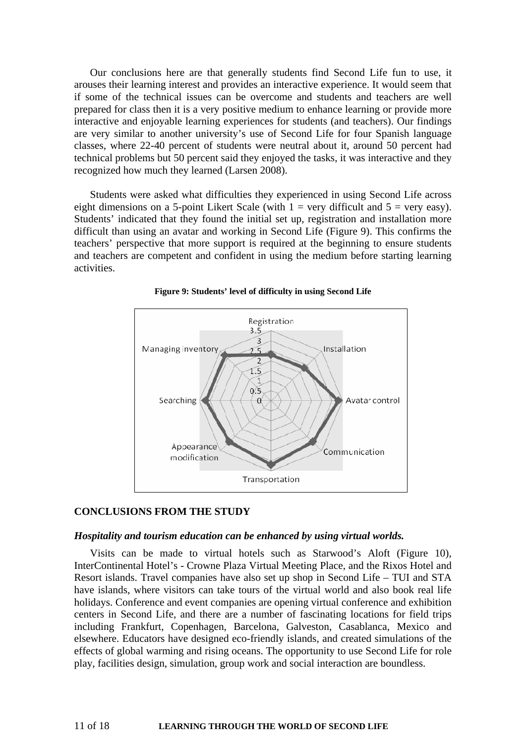Our conclusions here are that generally students find Second Life fun to use, it arouses their learning interest and provides an interactive experience. It would seem that if some of the technical issues can be overcome and students and teachers are well prepared for class then it is a very positive medium to enhance learning or provide more interactive and enjoyable learning experiences for students (and teachers). Our findings are very similar to another university's use of Second Life for four Spanish language classes, where 22-40 percent of students were neutral about it, around 50 percent had technical problems but 50 percent said they enjoyed the tasks, it was interactive and they recognized how much they learned (Larsen 2008).

Students were asked what difficulties they experienced in using Second Life across eight dimensions on a 5-point Likert Scale (with  $1 = \text{very difficult}$  and  $5 = \text{very easy}$ ). Students' indicated that they found the initial set up, registration and installation more difficult than using an avatar and working in Second Life (Figure 9). This confirms the teachers' perspective that more support is required at the beginning to ensure students and teachers are competent and confident in using the medium before starting learning activities.



**Figure 9: Students' level of difficulty in using Second Life** 

#### **CONCLUSIONS FROM THE STUDY**

#### *Hospitality and tourism education can be enhanced by using virtual worlds.*

Visits can be made to virtual hotels such as Starwood's Aloft (Figure 10), InterContinental Hotel's - Crowne Plaza Virtual Meeting Place, and the Rixos Hotel and Resort islands. Travel companies have also set up shop in Second Life – TUI and STA have islands, where visitors can take tours of the virtual world and also book real life holidays. Conference and event companies are opening virtual conference and exhibition centers in Second Life, and there are a number of fascinating locations for field trips including Frankfurt, Copenhagen, Barcelona, Galveston, Casablanca, Mexico and elsewhere. Educators have designed eco-friendly islands, and created simulations of the effects of global warming and rising oceans. The opportunity to use Second Life for role play, facilities design, simulation, group work and social interaction are boundless.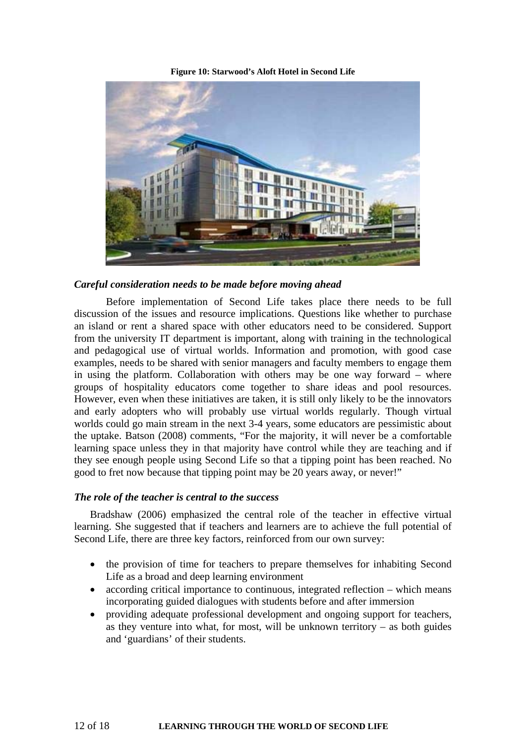**Figure 10: Starwood's Aloft Hotel in Second Life** 



### *Careful consideration needs to be made before moving ahead*

 Before implementation of Second Life takes place there needs to be full discussion of the issues and resource implications. Questions like whether to purchase an island or rent a shared space with other educators need to be considered. Support from the university IT department is important, along with training in the technological and pedagogical use of virtual worlds. Information and promotion, with good case examples, needs to be shared with senior managers and faculty members to engage them in using the platform. Collaboration with others may be one way forward – where groups of hospitality educators come together to share ideas and pool resources. However, even when these initiatives are taken, it is still only likely to be the innovators and early adopters who will probably use virtual worlds regularly. Though virtual worlds could go main stream in the next 3-4 years, some educators are pessimistic about the uptake. Batson (2008) comments, "For the majority, it will never be a comfortable learning space unless they in that majority have control while they are teaching and if they see enough people using Second Life so that a tipping point has been reached. No good to fret now because that tipping point may be 20 years away, or never!"

#### *The role of the teacher is central to the success*

Bradshaw (2006) emphasized the central role of the teacher in effective virtual learning. She suggested that if teachers and learners are to achieve the full potential of Second Life, there are three key factors, reinforced from our own survey:

- the provision of time for teachers to prepare themselves for inhabiting Second Life as a broad and deep learning environment
- according critical importance to continuous, integrated reflection which means incorporating guided dialogues with students before and after immersion
- providing adequate professional development and ongoing support for teachers, as they venture into what, for most, will be unknown territory  $-$  as both guides and 'guardians' of their students.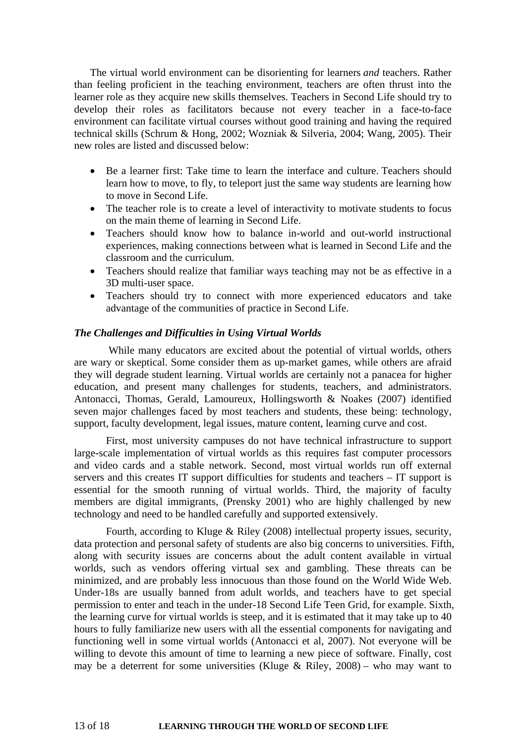The virtual world environment can be disorienting for learners *and* teachers. Rather than feeling proficient in the teaching environment, teachers are often thrust into the learner role as they acquire new skills themselves. Teachers in Second Life should try to develop their roles as facilitators because not every teacher in a face-to-face environment can facilitate virtual courses without good training and having the required technical skills (Schrum & Hong, 2002; Wozniak & Silveria, 2004; Wang, 2005). Their new roles are listed and discussed below:

- Be a learner first: Take time to learn the interface and culture. Teachers should learn how to move, to fly, to teleport just the same way students are learning how to move in Second Life.
- The teacher role is to create a level of interactivity to motivate students to focus on the main theme of learning in Second Life.
- Teachers should know how to balance in-world and out-world instructional experiences, making connections between what is learned in Second Life and the classroom and the curriculum.
- Teachers should realize that familiar ways teaching may not be as effective in a 3D multi-user space.
- Teachers should try to connect with more experienced educators and take advantage of the communities of practice in Second Life.

## *The Challenges and Difficulties in Using Virtual Worlds*

 While many educators are excited about the potential of virtual worlds, others are wary or skeptical. Some consider them as up-market games, while others are afraid they will degrade student learning. Virtual worlds are certainly not a panacea for higher education, and present many challenges for students, teachers, and administrators. Antonacci, Thomas, Gerald, Lamoureux, Hollingsworth & Noakes (2007) identified seven major challenges faced by most teachers and students, these being: technology, support, faculty development, legal issues, mature content, learning curve and cost.

First, most university campuses do not have technical infrastructure to support large-scale implementation of virtual worlds as this requires fast computer processors and video cards and a stable network. Second, most virtual worlds run off external servers and this creates IT support difficulties for students and teachers – IT support is essential for the smooth running of virtual worlds. Third, the majority of faculty members are digital immigrants, (Prensky 2001) who are highly challenged by new technology and need to be handled carefully and supported extensively.

Fourth, according to Kluge & Riley (2008) intellectual property issues, security, data protection and personal safety of students are also big concerns to universities. Fifth, along with security issues are concerns about the adult content available in virtual worlds, such as vendors offering virtual sex and gambling. These threats can be minimized, and are probably less innocuous than those found on the World Wide Web. Under-18s are usually banned from adult worlds, and teachers have to get special permission to enter and teach in the under-18 Second Life Teen Grid, for example. Sixth, the learning curve for virtual worlds is steep, and it is estimated that it may take up to 40 hours to fully familiarize new users with all the essential components for navigating and functioning well in some virtual worlds (Antonacci et al, 2007). Not everyone will be willing to devote this amount of time to learning a new piece of software. Finally, cost may be a deterrent for some universities (Kluge  $\&$  Riley, 2008) – who may want to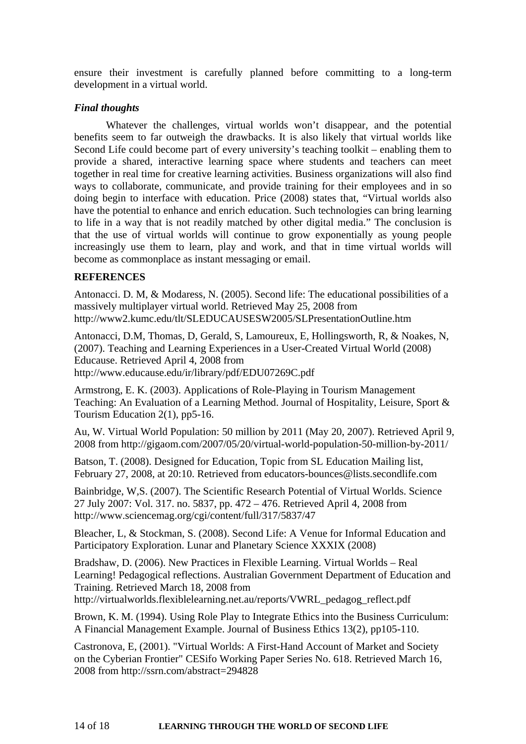ensure their investment is carefully planned before committing to a long-term development in a virtual world.

# *Final thoughts*

Whatever the challenges, virtual worlds won't disappear, and the potential benefits seem to far outweigh the drawbacks. It is also likely that virtual worlds like Second Life could become part of every university's teaching toolkit – enabling them to provide a shared, interactive learning space where students and teachers can meet together in real time for creative learning activities. Business organizations will also find ways to collaborate, communicate, and provide training for their employees and in so doing begin to interface with education. Price (2008) states that, "Virtual worlds also have the potential to enhance and enrich education. Such technologies can bring learning to life in a way that is not readily matched by other digital media." The conclusion is that the use of virtual worlds will continue to grow exponentially as young people increasingly use them to learn, play and work, and that in time virtual worlds will become as commonplace as instant messaging or email.

# **REFERENCES**

Antonacci. D. M, & Modaress, N. (2005). Second life: The educational possibilities of a massively multiplayer virtual world. Retrieved May 25, 2008 from http://www2.kumc.edu/tlt/SLEDUCAUSESW2005/SLPresentationOutline.htm

Antonacci, D.M, Thomas, D, Gerald, S, Lamoureux, E, Hollingsworth, R, & Noakes, N, (2007). Teaching and Learning Experiences in a User-Created Virtual World (2008) Educause. Retrieved April 4, 2008 from http://www.educause.edu/ir/library/pdf/EDU07269C.pdf

Armstrong, E. K. (2003). Applications of Role-Playing in Tourism Management Teaching: An Evaluation of a Learning Method. Journal of Hospitality, Leisure, Sport & Tourism Education 2(1), pp5-16.

Au, W. Virtual World Population: 50 million by 2011 (May 20, 2007). Retrieved April 9, 2008 from http://gigaom.com/2007/05/20/virtual-world-population-50-million-by-2011/

Batson, T. (2008). Designed for Education, Topic from SL Education Mailing list, February 27, 2008, at 20:10. Retrieved from educators-bounces@lists.secondlife.com

Bainbridge, W,S. (2007). The Scientific Research Potential of Virtual Worlds. Science 27 July 2007: Vol. 317. no. 5837, pp. 472 – 476. Retrieved April 4, 2008 from http://www.sciencemag.org/cgi/content/full/317/5837/47

Bleacher, L, & Stockman, S. (2008). Second Life: A Venue for Informal Education and Participatory Exploration. Lunar and Planetary Science XXXIX (2008)

Bradshaw, D. (2006). New Practices in Flexible Learning. Virtual Worlds – Real Learning! Pedagogical reflections. Australian Government Department of Education and Training. Retrieved March 18, 2008 from http://virtualworlds.flexiblelearning.net.au/reports/VWRL\_pedagog\_reflect.pdf

Brown, K. M. (1994). Using Role Play to Integrate Ethics into the Business Curriculum: A Financial Management Example. Journal of Business Ethics 13(2), pp105-110.

Castronova, E, (2001). "Virtual Worlds: A First-Hand Account of Market and Society on the Cyberian Frontier" CESifo Working Paper Series No. 618. Retrieved March 16, 2008 from http://ssrn.com/abstract=294828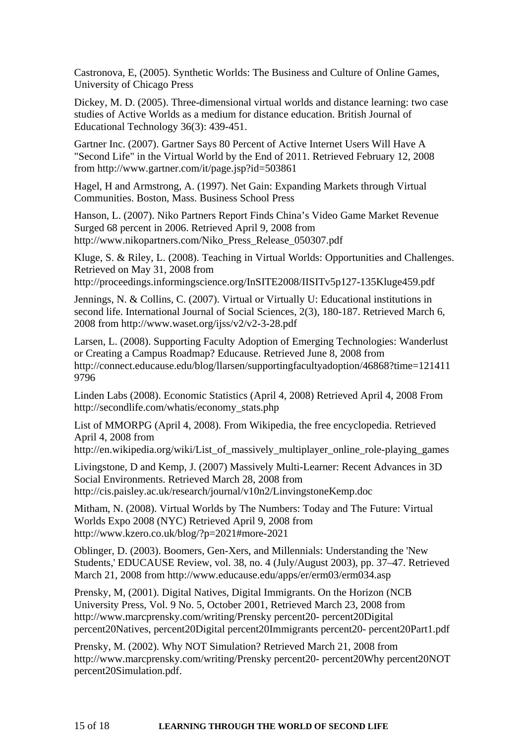Castronova, E, (2005). Synthetic Worlds: The Business and Culture of Online Games, University of Chicago Press

Dickey, M. D. (2005). Three-dimensional virtual worlds and distance learning: two case studies of Active Worlds as a medium for distance education. British Journal of Educational Technology 36(3): 439-451.

Gartner Inc. (2007). Gartner Says 80 Percent of Active Internet Users Will Have A "Second Life" in the Virtual World by the End of 2011. Retrieved February 12, 2008 from http://www.gartner.com/it/page.jsp?id=503861

Hagel, H and Armstrong, A. (1997). Net Gain: Expanding Markets through Virtual Communities. Boston, Mass. Business School Press

Hanson, L. (2007). Niko Partners Report Finds China's Video Game Market Revenue Surged 68 percent in 2006. Retrieved April 9, 2008 from http://www.nikopartners.com/Niko\_Press\_Release\_050307.pdf

Kluge, S. & Riley, L. (2008). Teaching in Virtual Worlds: Opportunities and Challenges. Retrieved on May 31, 2008 from

http://proceedings.informingscience.org/InSITE2008/IISITv5p127-135Kluge459.pdf

Jennings, N. & Collins, C. (2007). Virtual or Virtually U: Educational institutions in second life. International Journal of Social Sciences, 2(3), 180-187. Retrieved March 6, 2008 from http://www.waset.org/ijss/v2/v2-3-28.pdf

Larsen, L. (2008). Supporting Faculty Adoption of Emerging Technologies: Wanderlust or Creating a Campus Roadmap? Educause. Retrieved June 8, 2008 from http://connect.educause.edu/blog/llarsen/supportingfacultyadoption/46868?time=121411 9796

Linden Labs (2008). Economic Statistics (April 4, 2008) Retrieved April 4, 2008 From http://secondlife.com/whatis/economy\_stats.php

List of MMORPG (April 4, 2008). From Wikipedia, the free encyclopedia. Retrieved April 4, 2008 from

http://en.wikipedia.org/wiki/List\_of\_massively\_multiplayer\_online\_role-playing\_games

Livingstone, D and Kemp, J. (2007) Massively Multi-Learner: Recent Advances in 3D Social Environments. Retrieved March 28, 2008 from http://cis.paisley.ac.uk/research/journal/v10n2/LinvingstoneKemp.doc

Mitham, N. (2008). Virtual Worlds by The Numbers: Today and The Future: Virtual Worlds Expo 2008 (NYC) Retrieved April 9, 2008 from http://www.kzero.co.uk/blog/?p=2021#more-2021

Oblinger, D. (2003). Boomers, Gen-Xers, and Millennials: Understanding the 'New Students,' EDUCAUSE Review, vol. 38, no. 4 (July/August 2003), pp. 37–47. Retrieved March 21, 2008 from http://www.educause.edu/apps/er/erm03/erm034.asp

Prensky, M, (2001). Digital Natives, Digital Immigrants. On the Horizon (NCB University Press, Vol. 9 No. 5, October 2001, Retrieved March 23, 2008 from http://www.marcprensky.com/writing/Prensky percent20- percent20Digital percent20Natives, percent20Digital percent20Immigrants percent20- percent20Part1.pdf

Prensky, M. (2002). Why NOT Simulation? Retrieved March 21, 2008 from http://www.marcprensky.com/writing/Prensky percent20- percent20Why percent20NOT percent20Simulation.pdf.